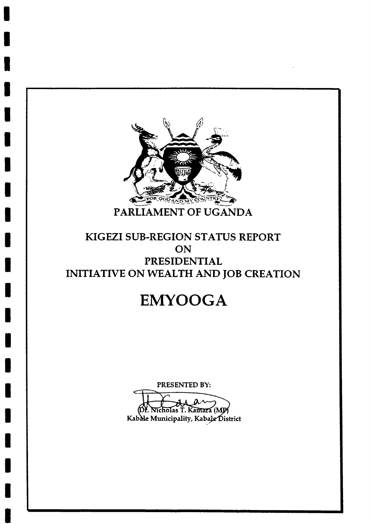

## KIGEZI SUB-REGION STATUS REPORT ON **PRESIDENTIAL** INITIATIVE ON WEALTH AND JOB CREATION

# **EMYOOGA**

PRESENTED BY:

icholas T. Kamara (MP Kabale Municipality, Kabale District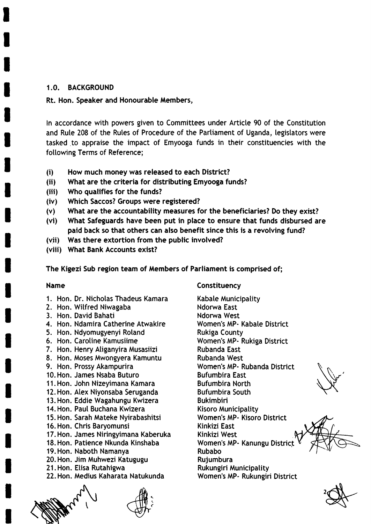## 1.0. BACKGROUND

## Rt. Hon. Speaker and Honourable Members,

In accordance with powers given to Committees under Article 90 of the Constitution and Rute 208 of the Rutes of Procedure of the Partiament of Uganda, legistators were tasked to appraise the impact of Emyooga funds in their constituencies with the following Terms of Reference;

- (i) How much money was released to each District?
- (ii) What are the criteria for distributing Emyooga funds?
- (iii) Who qualifies for the funds?
- (iv) Which Saccos? Groups were registered?
- (v) What are the accountability measures for the beneficiaries? Do they exist?
- (vi) What Safeguards have been put in place to ensure that funds disbursed are paid back so that others can also benefit since this is a revolving fund?
- (vii) Was there extortion from the public involved?
- (viii) What Bank Accounts exist?

The Kigezi Sub region team of Members of Parliament is comprised of;

## Name

- 1. Hon. Dr. Nichotas Thadeus Kamara
- 2. Hon. Witfred Niwagaba
- 3. Hon. David Bahati
- 4. Hon. Ndamira Catherine Atwakire
- 5. Hon. Ndyomugyenyi Rotand
- 6. Hon. Carotine Kamusiime
- 7. Hon. Henry Atiganyira Musasiizi
- 8. Hon. Moses Mwongyera Kamuntu
- 9. Hon. Prossy Akampurira
- 10.Hon. James Nsaba Buturo
- 11. Hon. John Nizeyimana Kamara
- 12. Hon. Alex Niyonsaba Seruganda
- 13.Hon. Eddie Wagahungu Kwizera
- 14. Hon. Paul Buchana Kwizera
- 15. Hon. Sarah Mateke Nyirabashitsi
- 16. Hon. Chris Baryomunsi
- 17. Hon. James Niringyimana Kaberuka
- 18.Hon. Patience Nkunda Kinshaba
- 19.Hon. Naboth Namanya
- 20. Hon. Jim Muhwezi Katugugu
- 21. Hon. Elisa Rutahigwa
- 22.Hon. Medius Kaharata Natukunda

 $\overline{\phantom{0}}$ 

(  $\check{\check{}}$ 

**Constituency** 

Kabate Municipatity Ndorwa East Ndorwa West Women's MP- Kabale District Rukiga County Women's MP- Rukiga District Rubanda East Rubanda West Women's MP- Rubanda District Bufumbira East Bufumbira North Bufumbira South Bukimbiri Kisoro Municipatity Women's MP- Kisoro District Kinkizi East Kinkizi West Women's MP- Kanungu District Rubabo Rujumbura Rukungiri Municipality Women's MP- Rukungiri District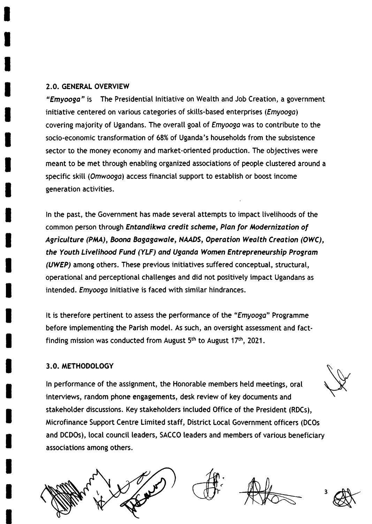## 2.0. GENERAL OVERVIEW

"Emyoogo" is The Presidential lnitiative on Weatth and Job Creation, a government initiative centered on various categories of skills-based enterprises (*Emyooga*) covering majority of Ugandans. The overall goal of *Emyooga* was to contribute to the socio-economic transformation of 68% of Uganda's households from the subsistence sector to the money economy and market-oriented production. The objectives were meant to be met through enabling organized associations of people clustered around a specific skill (Omwooga) access financial support to establish or boost income generation activities.

ln the past, the Government has made severat attempts to impact tivetihoods of the common person through Entandikwa credit scheme, Plan for Modernization of Agriculture (PMA), Boona Bagagawale, NAADS, Operation Wealth Creation (OWC), the Youth Livelihood Fund (YLF) and Uganda Women Entrepreneurship Progrom (UWEP) among others. These previous initiatives suffered conceptuat, structurat, operational and perceptional challenges and did not positively impact Ugandans as intended. Emyooga initiative is faced with similar hindrances.

It is therefore pertinent to assess the performance of the "Emyoogo" Programme before implementing the Parish model. As such, an oversight assessment and factfinding mission was conducted from August  $5<sup>th</sup>$  to August 17<sup>th</sup>, 2021.

## 3.0. METHODOLOGY

ln performance of the assignment, the Honorabte members hetd meetings, oral interviews, random phone engagements, desk review of key documents and stakehotder discussions. Key stakeholders inctuded Office of the President (RDCs), Microfinance Support Centre Limited staff, District Local Government officers (DCOs and DCDOs), local council leaders, SACCO leaders and members of various beneficiary associations among others.



 $\epsilon$ 



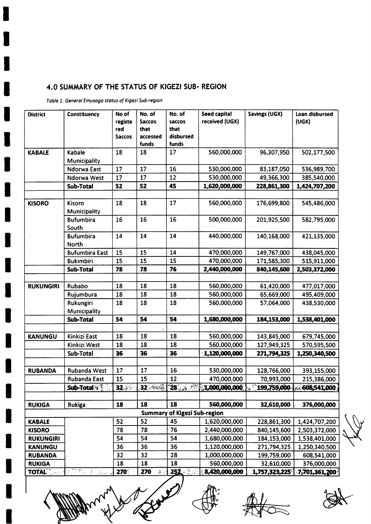## 4.0 SUMMARY OF THE STATUS OF KIGEZI SUB-REGION

Table 1: General Emyooga status of Kigezi Sub-region

ı

 $\begin{matrix} \bullet \\ \bullet \end{matrix}$ 

| <b>District</b>  | Constituency                                                 | No of<br>registe<br>red<br><b>Saccos</b> | No. of<br><b>Saccos</b><br>that<br>accessed<br>funds | No. of<br>saccos<br>that<br>disbursed<br>funds | Seed capital<br>received (UGX) | Savings (UGX)                                  | Loan disbursed<br>(UGX) |
|------------------|--------------------------------------------------------------|------------------------------------------|------------------------------------------------------|------------------------------------------------|--------------------------------|------------------------------------------------|-------------------------|
| <b>KABALE</b>    | Kabale                                                       | 18                                       | 18                                                   | 17                                             | 560,000,000                    | 96,307,950                                     | 502,177,500             |
|                  | Municipality                                                 |                                          |                                                      |                                                |                                |                                                |                         |
|                  | Ndorwa East                                                  | 17                                       | 17                                                   | 16                                             | 530,000,000                    | 83,187,050                                     | 536,989,700             |
|                  | Ndorwa West                                                  | 17                                       | 17                                                   | 12                                             | 530,000,000                    | 49,366,300                                     | 385,540,000             |
|                  | Sub-Total                                                    | 52                                       | 52                                                   | 45                                             | 1,620,000,000                  | 228,861,300                                    | 1,424,707,200           |
|                  |                                                              |                                          |                                                      |                                                |                                |                                                |                         |
| <b>KISORO</b>    | Kisoro<br>Municipality                                       | 18                                       | 18                                                   | 17                                             | 560,000,000                    | 176,699,800                                    | 545,486,000             |
|                  | <b>Bufumbira</b><br>South                                    | 16                                       | 16                                                   | 16                                             | 500,000,000                    | 201,925,500                                    | 582,795,000             |
|                  | <b>Bufumbira</b><br>North                                    | 14                                       | 14                                                   | 14                                             | 440,000,000                    | 140,168,000                                    | 421,135,000             |
|                  | <b>Bufumbira East</b>                                        | 15                                       | 15                                                   | 14                                             | 470,000,000                    | 149,767,000                                    | 438,045,000             |
|                  | <b>Bukimbiri</b>                                             | 15                                       | 15                                                   | 15                                             | 470,000,000                    | 171,585,300                                    | 515,911,000             |
|                  | <b>Sub-Total</b>                                             | 78                                       | 78                                                   | 76                                             | 2,440,000,000                  | 840,145,600                                    | 2,503,372,000           |
|                  |                                                              |                                          |                                                      |                                                |                                |                                                |                         |
| <b>RUKUNGIRI</b> | Rubabo                                                       | 18                                       | 18                                                   | 18                                             | 560,000,000                    | 61,420,000                                     | 477,017,000             |
|                  | Rujumbura                                                    | 18                                       | 18                                                   | 18                                             | 560,000,000                    | 65,669,000                                     | 495,409,000             |
|                  | Rukungiri                                                    | 18                                       | 18                                                   | 18                                             | 560,000,000                    | 57,064,000                                     | 438,530,000             |
|                  | Municipality                                                 |                                          |                                                      |                                                |                                |                                                |                         |
|                  | Sub-Total                                                    | 54                                       | 54                                                   | 54                                             | 1,680,000,000                  | 184,153,000                                    | 1,538,401,000           |
|                  |                                                              |                                          |                                                      |                                                |                                |                                                |                         |
| <b>KANUNGU</b>   | Kinkizi East                                                 | 18                                       | 18                                                   | 18                                             | 560,000,000                    | 143,845,000                                    | 679,745,000             |
|                  | Kinkizi West                                                 | 18                                       | 18                                                   | 18                                             | 560,000,000                    | 127,949,325                                    | 570,595,500             |
|                  | Sub-Total                                                    | 36                                       | 36                                                   | 36                                             | 1,120,000,000                  | 271,794,325                                    | 1,250,340,500           |
| <b>RUBANDA</b>   | Rubanda West                                                 | 17                                       | 17                                                   | 16                                             | 530,000,000                    | 128,766,000                                    | 393,155,000             |
|                  | Rubanda East                                                 | 15                                       | 15                                                   | 12                                             | 470,000,000                    | 70,993,000                                     | 215,386,000             |
|                  | Sub-Total                                                    | 132                                      |                                                      |                                                |                                | 32 28 28 1,000,000,000 109,759,000 608,541,000 |                         |
| <b>RUKIGA</b>    | Rukiga                                                       | 18                                       | 18                                                   | 18                                             | 560,000,000                    | 32,610,000                                     | 376,000,000             |
|                  |                                                              |                                          |                                                      | <b>Summary of Kigezi Sub-region</b>            |                                |                                                |                         |
| <b>KABALE</b>    |                                                              | 52                                       | 52                                                   | 45                                             | 1,620,000,000                  | 228,861,300                                    | 1,424,707,200           |
| <b>KISORO</b>    |                                                              | 78                                       | 78                                                   | 76                                             | 2,440,000,000                  | 840,145,600                                    | 2,503,372,000           |
| <b>RUKUNGIRI</b> |                                                              | 54                                       | 54                                                   | 54                                             | 1,680,000,000                  | 184,153,000                                    | 1,538,401,000           |
| <b>KANUNGU</b>   |                                                              | 36                                       | 36                                                   | 36                                             | 1,120,000,000                  | 271,794,325                                    | 1,250,340,500           |
| <b>RUBANDA</b>   |                                                              | 32                                       | 32                                                   | 28                                             | 1,000,000,000                  | 199,759,000                                    | 608,541,000             |
| <b>RUKIGA</b>    |                                                              | 18                                       | 18                                                   | 18                                             | 560,000,000                    | 32,610,000                                     | 376,000,000             |
| <b>TOTAL</b>     | 医肉瘤切除<br>$\mathcal{A}_{\mathcal{D},\mathcal{D},\mathcal{D}}$ | 270                                      | <b>270</b><br>$\mathcal{G}^{\pm}$ .                  | 257                                            | 8,420,000,000                  | $1,757,323,225$ <sup>1</sup>                   | 7,701,361,700           |

A Royald Ann.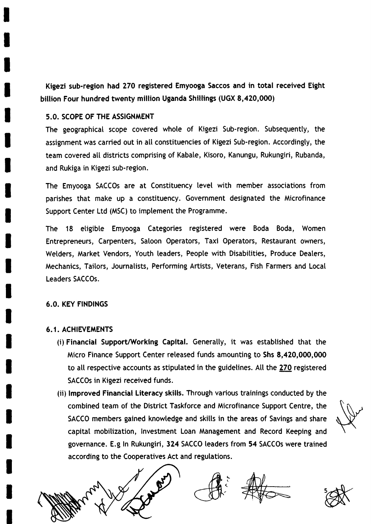Kigezi sub-region had 270 registered Emyooga Saccos and in total received Eight billion Four hundred twenty million Uganda Shillings (UGX 8,420,000)

## 5.0. SCOPE OF THE ASSIGNMENT

The geographical scope covered whote of Kigezi Sub-region. Subsequentty, the assignment was carried out in atl constituencies of Kigezi Sub-region. Accordingty, the team covered all districts comprising of Kabale, Kisoro, Kanungu, Rukungiri, Rubanda, and Rukiga in Kigezi sub-region.

The Emyooga SACCOs are at Constituency tevel with member associations from parishes that make up a constituency. Government designated the Microfinance Support Center Ltd (MSC) to imptement the Programme.

The 18 etigibte Emyooga Categories registered were Boda Boda, Women Entrepreneurs, Carpenters, Saloon Operators, Taxi Operators, Restaurant owners, Welders, Market Vendors, Youth leaders, Peopte with Disabitities, Produce Deaters, Mechanics, Taitors, Journatists, Performing Aftists, Veterans, Fish Farmers and Local Leaders SACCOS.

#### 6.0. KEY FINDINGS

## 6.1. ACHIEVEMENTS

- (i) Financial Support/Working Capital. Generally, it was established that the Micro Finance Support Center reteased funds amounting to Shs 8,420,000,000 to atl respective accounts as stiputated in the guidetines. All the 270 registered SACCOs in Kigezi received funds.
- (ii) lmproved Financial Literacy skills. Through various trainings conducted by the combined team of the District Taskforce and Microfinance Support Centre, the SACCO members gained knowledge and skills in the areas of Savings and share capitat mobitization, lnvestment Loan Management and Record Keeping and governance. E.g In Rukungiri, 324 SACCO leaders from 54 SACCOs were trained according to the Cooperatives Act and regulations.



 $\frac{1}{2}$ 



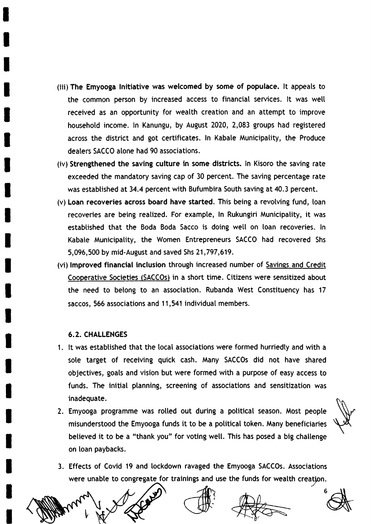- (iii)The Emyooga lnitiative was welcomed by some of populace. lt appeats to the common person by increased access to financial services. It was well received as an opportunity for weatth creation and an attempt to improve househotd income. ln Kanungu, by August 2020, 2,083 groups had registered across the district and got certificates. In Kabale Municipatity, the Produce deaters SACCO alone had 90 associations.
- (iv) Strengthened the saving culture in some districts. ln Kisoro the saving rate exceeded the mandatory saving cap of 30 percent. The saving percentage rate was estabtished at 34.4 percent with Bufumbira South saving at 40.3 percent.
- (v) Loan recoveries across board have started. This being a revotving fund, loan recoveries are being reatized. For example, ln Rukungiri Municipatity, it was established that the Boda Boda Sacco is doing well on loan recoveries. In Kabate Municipatity, the Women Entrepreneurs SACCO had recovered Shs 5,096,500 by mid-August and saved Shs 21 ,797,619.
- (vi) Improved financial inclusion through increased number of Savings and Credit Cooperative Societies (SACCOs) in a short time. Citizens were sensitized about the need to betong to an association. Rubanda West Constituency has <sup>17</sup> saccos, 566 associations and 11,541 individuat members.

## 6.2. CHALLENGES

- 1. It was established that the local associations were formed hurriedly and with a sote target of receiving quick cash. Many SACCOS did not have shared objectives, goats and vision but were formed with a purpose of easy access to funds. The initial planning, screening of associations and sensitization was inadequate.
- 2. Emyooga programme was rolled out during a political season. Most people misunderstood the Emyooga funds it to be a political token. Many beneficiaries betieved it to be a "thank you" for voting well. This has posed a big challenge on loan paybacks.

3. Effects of Covid 19 and lockdown ravaged the Emyooga SACCOS. Associations were unable to congregate for trainings and use the funds for wealth creation.

t





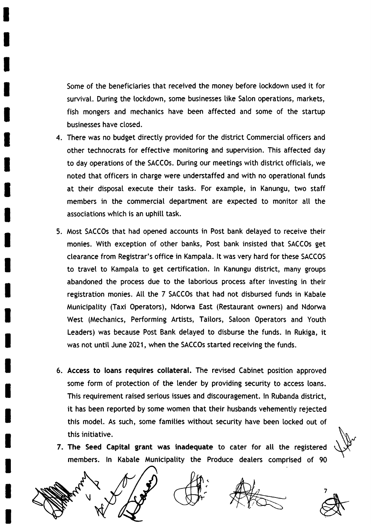Some of the beneficiaries that received the money before lockdown used it for survival. During the lockdown, some businesses like Salon operations, markets, fish mongers and mechanics have been affected and some of the startup businesses have closed.

- 4. There was no budget directty provided for the district Commercial officers and other technocrats for effective monitoring and superuision. This affected day to day operations of the SACCOS. During our meetings with district officiats, we noted that officers in charge were understaffed and with no operationat funds at their disposat execute their tasks. For example, in Kanungu, two staff members in the commercial department are expected to monitor all the associations which is an uphitl task.
- 5. Most SACCOs that had opened accounts in Post bank detayed to receive their monies. With exception of other banks, Post bank insisted that SACCOs get clearance from Registrar's office in Kampata. lt was very hard for these SACCOS to travel to Kampala to get certification. In Kanungu district, many groups abandoned the process due to the taborious process after investing in their registration monies. Att the 7 SACCOS that had not disbursed funds in Kabate Municipatity (Taxi Operators), Ndorwa East (Restaurant owners) and Ndonra West (Mechanics, Performing Artists, Taitors, Satoon Operators and Youth Leaders) was because Post Bank detayed to disburse the funds. ln Rukiga, it was not until June 2021, when the SACCOS started receiving the funds.
- 6. Access to loans requires collateral. The revised Cabinet position approved some form of protection of the lender by providing security to access toans. This requirement raised serious issues and discouragement. ln Rubanda district, it has been reported by some women that their husbands vehementty rejected this modet. As such, some families without security have been tocked out of this initiative.
- 7. The Seed Capital grant was inadequate to cater for all the registered members. ln Kabate Municipatity the Produce dealers comprised of <sup>90</sup>

(



7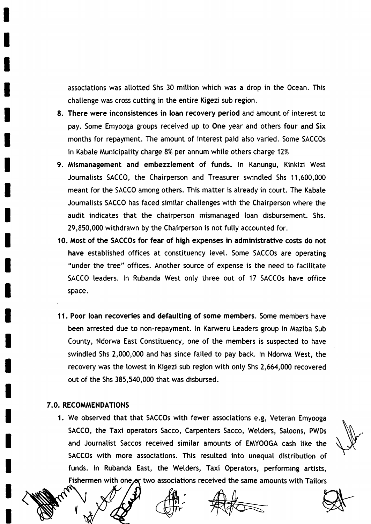associations was allotted Shs 30 million which was a drop in the Ocean. This challenge was cross cutting in the entire Kigezi sub region.

- 8. There were inconsistences in loan recovery period and amount of interest to pay. Some Emyooga groups received up to One year and others four and Six months for repayment. The amount of interest paid atso varied. Some SACCOs in Kabale Municipality charge 8% per annum while others charge 12%
- 9. Mismanagement and embezzlement of funds. ln Kanungu, Kinkizi West Journatists SACCO, the Chairperson and Treasurer swindted Shs 11,600,000 meant for the SACCO among others. This matter is atready in court. The Kabate Journatists SACCO has faced simitar chattenges with the Chairperson where the audit indicates that the chairperson mismanaged loan disbursement. Shs. 29,850,000 withdrawn by the Chairperson is not fully accounted for.
- 10. Most of the SACCOS for fear of high expenses in administrative costs do not have established offices at constituency level. Some SACCOs are operating "under the tree" offices. Another source of expense is the need to facititate SACCO leaders. In Rubanda West only three out of 17 SACCOs have office space.
- 11. Poor loan recoveries and defaulting of some members. Some members have been arrested due to non-repayment. ln Karweru Leaders group in Maziba Sub County, Ndorwa East Constituency, one of the members is suspected to have swindled Shs 2,000,000 and has since failed to pay back. In Ndorwa West, the recovery was the lowest in Kigezi sub region with onty Shs 2,664,000 recovered out of the shs 385,540,000 that was disbursed.

## **7.0. RECOMMENDATIONS**

Y

1. We observed that that SACCOS with fewer associations e.g, Veteran Emyooga SACCO, the Taxi operators Sacco, Carpenters Sacco, Welders, Satoons, PWDs and Journatist Saccos received simitar amounts of EMYOOGA cash tike the SACCOs with more associations. This resutted into unequal distribution of funds. ln Rubanda East, the Wetders, Taxi Operators, performing artists, Fishermen with one or two associations received the same amounts with Tailors

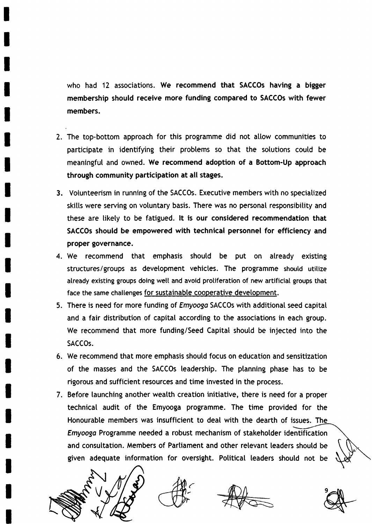who had 12 associations. We recommend that SACCOs having a bigger membership should receive more funding compared to SACCOs with fewer members.

- 2. The top-bottom approach for this programme did not atlow communities to participate in identifying their problems so that the solutions could be meaningful and owned. We recommend adoption of a Bottom-Up approach through community participation at all stages.
- 3. Votunteerism in running of the SACCOS. Executive members with no speciatized skills were serving on voluntary basis. There was no personal responsibility and these are likely to be fatigued. It is our considered recommendation that SACCOs should be empowered with technical personnel for efficiency and proper governance.
- 4. We recommend that emphasis should be put on already existing structures/groups as development vehicles. The programme should utilize atready existing groups doing wett and avoid protiferation of new artificiat groups that face the same challenges for sustainable cooperative development.
- 5. There is need for more funding of *Emyooga* SACCOs with additional seed capital and a fair distribution of capitat according to the associations in each group. We recommend that more funding/Seed Capitat shoutd be injected into the SACCOS.
- 6. We recommend that more emphasis shoutd focus on education and sensitization of the masses and the SACCOS leadership. The ptanning phase has to be rigorous and sufficient resources and time invested in the process.
- 7. Before taunching another weatth creation initiative, there is need for a proper technical audit of the Emyooga programme. The time provided for the Honourable members was insufficient to deal with the dearth of issues. Emyooga Programme needed a robust mechanism of stakeholder identification and consultation. Members of Partiament and other retevant leaders shoutd be given adequate information for oversight. Potiticat leaders shoutd not be



 $\epsilon$ 



9